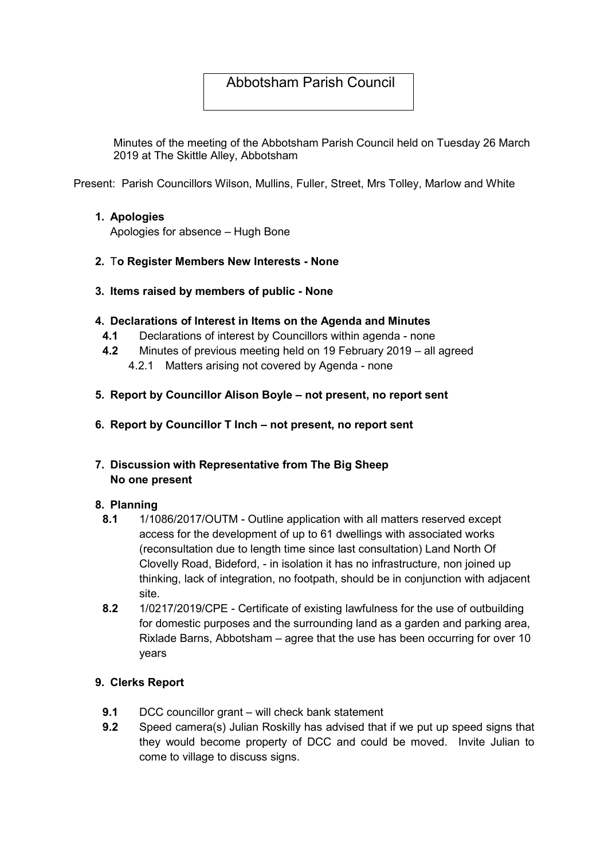# Abbotsham Parish Council

Minutes of the meeting of the Abbotsham Parish Council held on Tuesday 26 March 2019 at The Skittle Alley, Abbotsham

Present: Parish Councillors Wilson, Mullins, Fuller, Street, Mrs Tolley, Marlow and White

## 1. Apologies

Apologies for absence – Hugh Bone

- 2. To Register Members New Interests None
- 3. Items raised by members of public None

## 4. Declarations of Interest in Items on the Agenda and Minutes

- 4.1 Declarations of interest by Councillors within agenda none
- 4.2 Minutes of previous meeting held on 19 February 2019 all agreed
	- 4.2.1 Matters arising not covered by Agenda none
- 5. Report by Councillor Alison Boyle not present, no report sent
- 6. Report by Councillor T Inch not present, no report sent
- 7. Discussion with Representative from The Big Sheep No one present

# 8. Planning

- 8.1 1/1086/2017/OUTM Outline application with all matters reserved except access for the development of up to 61 dwellings with associated works (reconsultation due to length time since last consultation) Land North Of Clovelly Road, Bideford, - in isolation it has no infrastructure, non joined up thinking, lack of integration, no footpath, should be in conjunction with adjacent site.
- 8.2 1/0217/2019/CPE Certificate of existing lawfulness for the use of outbuilding for domestic purposes and the surrounding land as a garden and parking area, Rixlade Barns, Abbotsham – agree that the use has been occurring for over 10 years

# 9. Clerks Report

- 9.1 DCC councillor grant will check bank statement
- 9.2 Speed camera(s) Julian Roskilly has advised that if we put up speed signs that they would become property of DCC and could be moved. Invite Julian to come to village to discuss signs.